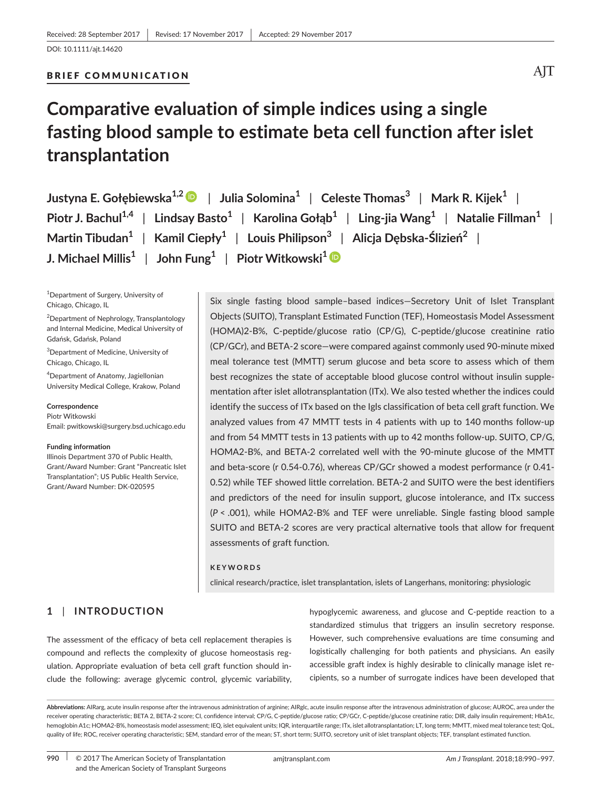#### BRIEF COMMUNICATION

# **Comparative evaluation of simple indices using a single fasting blood sample to estimate beta cell function after islet transplantation**

| Justyna E. Gołębiewska <sup>1,2</sup> D   Julia Solomina <sup>1</sup>   Celeste Thomas <sup>3</sup>   Mark R. Kijek <sup>1</sup>                      |  |  |  |  |  |
|-------------------------------------------------------------------------------------------------------------------------------------------------------|--|--|--|--|--|
| Piotr J. Bachul <sup>1,4</sup>   Lindsay Basto <sup>1</sup>   Karolina Gołąb <sup>1</sup>   Ling-jia Wang <sup>1</sup>   Natalie Fillman <sup>1</sup> |  |  |  |  |  |
| Martin Tibudan <sup>1</sup>   Kamil Ciepły <sup>1</sup>   Louis Philipson <sup>3</sup>   Alicja Dębska-Ślizień <sup>2</sup>                           |  |  |  |  |  |
| J. Michael Millis <sup>1</sup>   John Fung <sup>1</sup>   Piotr Witkowski <sup>1</sup> D                                                              |  |  |  |  |  |

1 Department of Surgery, University of Chicago, Chicago, IL

<sup>2</sup>Department of Nephrology, Transplantology and Internal Medicine, Medical University of Gdańsk, Gdańsk, Poland

3 Department of Medicine, University of Chicago, Chicago, IL

4 Department of Anatomy, Jagiellonian University Medical College, Krakow, Poland

#### **Correspondence**

Piotr Witkowski Email: [pwitkowski@surgery.bsd.uchicago.edu](mailto:pwitkowski@surgery.bsd.uchicago.edu)

#### **Funding information**

Illinois Department 370 of Public Health, Grant/Award Number: Grant "Pancreatic Islet Transplantation"; US Public Health Service, Grant/Award Number: DK-020595

Six single fasting blood sample–based indices—Secretory Unit of Islet Transplant Objects (SUITO), Transplant Estimated Function (TEF), Homeostasis Model Assessment (HOMA)2-B%, C-peptide/glucose ratio (CP/G), C-peptide/glucose creatinine ratio (CP/GCr), and BETA-2 score—were compared against commonly used 90-minute mixed meal tolerance test (MMTT) serum glucose and beta score to assess which of them best recognizes the state of acceptable blood glucose control without insulin supplementation after islet allotransplantation (ITx). We also tested whether the indices could identify the success of ITx based on the Igls classification of beta cell graft function. We analyzed values from 47 MMTT tests in 4 patients with up to 140 months follow-up and from 54 MMTT tests in 13 patients with up to 42 months follow-up. SUITO, CP/G, HOMA2-B%, and BETA-2 correlated well with the 90-minute glucose of the MMTT and beta-score (r 0.54-0.76), whereas CP/GCr showed a modest performance (r 0.41- 0.52) while TEF showed little correlation. BETA-2 and SUITO were the best identifiers and predictors of the need for insulin support, glucose intolerance, and ITx success (*P* < .001), while HOMA2-B% and TEF were unreliable. Single fasting blood sample SUITO and BETA-2 scores are very practical alternative tools that allow for frequent assessments of graft function.

#### **KEYWORDS**

clinical research/practice, islet transplantation, islets of Langerhans, monitoring: physiologic

## **1** | **INTRODUCTION**

The assessment of the efficacy of beta cell replacement therapies is compound and reflects the complexity of glucose homeostasis regulation. Appropriate evaluation of beta cell graft function should include the following: average glycemic control, glycemic variability, hypoglycemic awareness, and glucose and C-peptide reaction to a standardized stimulus that triggers an insulin secretory response. However, such comprehensive evaluations are time consuming and logistically challenging for both patients and physicians. An easily accessible graft index is highly desirable to clinically manage islet recipients, so a number of surrogate indices have been developed that

**990** | © 2017 The American Society of Transplantation amjtransplant.com *Am J Transplant.* 2018;18:990–997. and the American Society of Transplant Surgeons

Abbreviations: AIRarg, acute insulin response after the intravenous administration of arginine; AIRglc, acute insulin response after the intravenous administration of glucose; AUROC, area under the receiver operating characteristic; BETA 2, BETA-2 score; CI, confidence interval; CP/G, C-peptide/glucose ratio; CP/GCr, C-peptide/glucose creatinine ratio; DIR, daily insulin requirement; HbA1c, hemoglobin A1c; HOMA2-B%, homeostasis model assessment; IEQ, islet equivalent units; IQR, interquartile range; ITx, islet allotransplantation; LT, long term; MMTT, mixed meal tolerance test; QoL, quality of life; ROC, receiver operating characteristic; SEM, standard error of the mean; ST, short term; SUITO, secretory unit of islet transplant objects; TEF, transplant estimated function.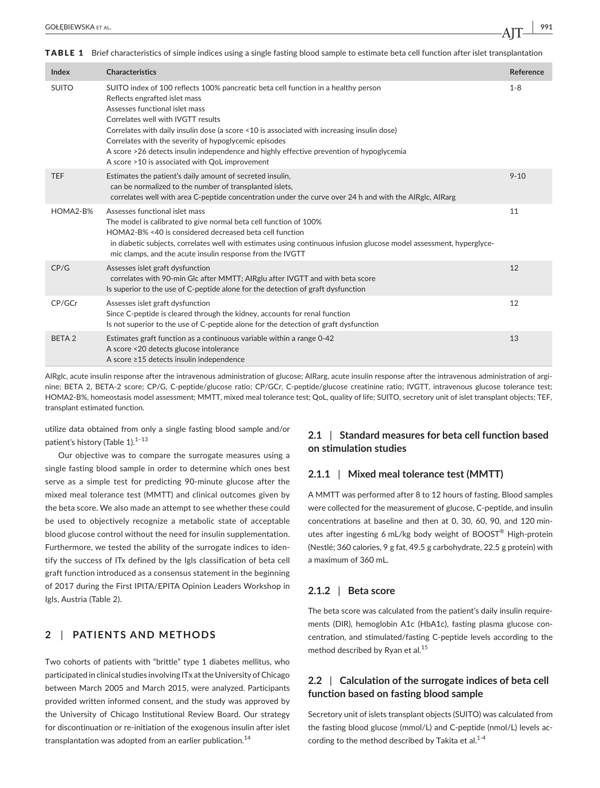TABLE 1 Brief characteristics of simple indices using a single fasting blood sample to estimate beta cell function after islet transplantation

| Index             | <b>Characteristics</b>                                                                                                                                                                                                                                                                                                                                                                                                                                                                            | Reference |
|-------------------|---------------------------------------------------------------------------------------------------------------------------------------------------------------------------------------------------------------------------------------------------------------------------------------------------------------------------------------------------------------------------------------------------------------------------------------------------------------------------------------------------|-----------|
| <b>SUITO</b>      | SUITO index of 100 reflects 100% pancreatic beta cell function in a healthy person<br>Reflects engrafted islet mass<br>Assesses functional islet mass<br>Correlates well with IVGTT results<br>Correlates with daily insulin dose (a score <10 is associated with increasing insulin dose)<br>Correlates with the severity of hypoglycemic episodes<br>A score >26 detects insulin independence and highly effective prevention of hypoglycemia<br>A score >10 is associated with QoL improvement | $1 - 8$   |
| <b>TEF</b>        | Estimates the patient's daily amount of secreted insulin,<br>can be normalized to the number of transplanted islets,<br>correlates well with area C-peptide concentration under the curve over 24 h and with the AIRglc, AIRarg                                                                                                                                                                                                                                                                   | $9 - 10$  |
| HOMA2-B%          | Assesses functional islet mass<br>The model is calibrated to give normal beta cell function of 100%<br>HOMA2-B% <40 is considered decreased beta cell function<br>in diabetic subjects, correlates well with estimates using continuous infusion glucose model assessment, hyperglyce-<br>mic clamps, and the acute insulin response from the IVGTT                                                                                                                                               | 11        |
| CP/G              | Assesses islet graft dysfunction<br>correlates with 90-min Glc after MMTT; AIRglu after IVGTT and with beta score<br>Is superior to the use of C-peptide alone for the detection of graft dysfunction                                                                                                                                                                                                                                                                                             | 12        |
| CP/GCr            | Assesses islet graft dysfunction<br>Since C-peptide is cleared through the kidney, accounts for renal function<br>Is not superior to the use of C-peptide alone for the detection of graft dysfunction                                                                                                                                                                                                                                                                                            | 12        |
| BETA <sub>2</sub> | Estimates graft function as a continuous variable within a range 0-42<br>A score <20 detects glucose intolerance<br>A score ≥15 detects insulin independence                                                                                                                                                                                                                                                                                                                                      | 13        |

AIRglc, acute insulin response after the intravenous administration of glucose; AIRarg, acute insulin response after the intravenous administration of arginine; BETA 2, BETA-2 score; CP/G, C-peptide/glucose ratio; CP/GCr, C-peptide/glucose creatinine ratio; IVGTT, intravenous glucose tolerance test; HOMA2-B%, homeostasis model assessment; MMTT, mixed meal tolerance test; QoL, quality of life; SUITO, secretory unit of islet transplant objects; TEF, transplant estimated function.

utilize data obtained from only a single fasting blood sample and/or patient's history (Table 1).<sup>1-13</sup>

Our objective was to compare the surrogate measures using a single fasting blood sample in order to determine which ones best serve as a simple test for predicting 90-minute glucose after the mixed meal tolerance test (MMTT) and clinical outcomes given by the beta score. We also made an attempt to see whether these could be used to objectively recognize a metabolic state of acceptable blood glucose control without the need for insulin supplementation. Furthermore, we tested the ability of the surrogate indices to identify the success of ITx defined by the Igls classification of beta cell graft function introduced as a consensus statement in the beginning of 2017 during the First IPITA/EPITA Opinion Leaders Workshop in Igls, Austria (Table 2).

## **2** | **PATIENTS AND METHODS**

Two cohorts of patients with "brittle" type 1 diabetes mellitus, who participated in clinical studies involving ITx at the University of Chicago between March 2005 and March 2015, were analyzed. Participants provided written informed consent, and the study was approved by the University of Chicago Institutional Review Board. Our strategy for discontinuation or re-initiation of the exogenous insulin after islet transplantation was adopted from an earlier publication.<sup>14</sup>

# **2.1** | **Standard measures for beta cell function based on stimulation studies**

#### **2.1.1** | **Mixed meal tolerance test (MMTT)**

A MMTT was performed after 8 to 12 hours of fasting. Blood samples were collected for the measurement of glucose, C-peptide, and insulin concentrations at baseline and then at 0, 30, 60, 90, and 120 minutes after ingesting 6 mL/kg body weight of BOOST® High-protein (Nestlé; 360 calories, 9 g fat, 49.5 g carbohydrate, 22.5 g protein) with a maximum of 360 mL.

## **2.1.2** | **Beta score**

The beta score was calculated from the patient's daily insulin requirements (DIR), hemoglobin A1c (HbA1c), fasting plasma glucose concentration, and stimulated/fasting C-peptide levels according to the method described by Ryan et al.<sup>15</sup>

# **2.2** | **Calculation of the surrogate indices of beta cell function based on fasting blood sample**

Secretory unit of islets transplant objects (SUITO) was calculated from the fasting blood glucose (mmol/L) and C-peptide (nmol/L) levels according to the method described by Takita et al. $1-4$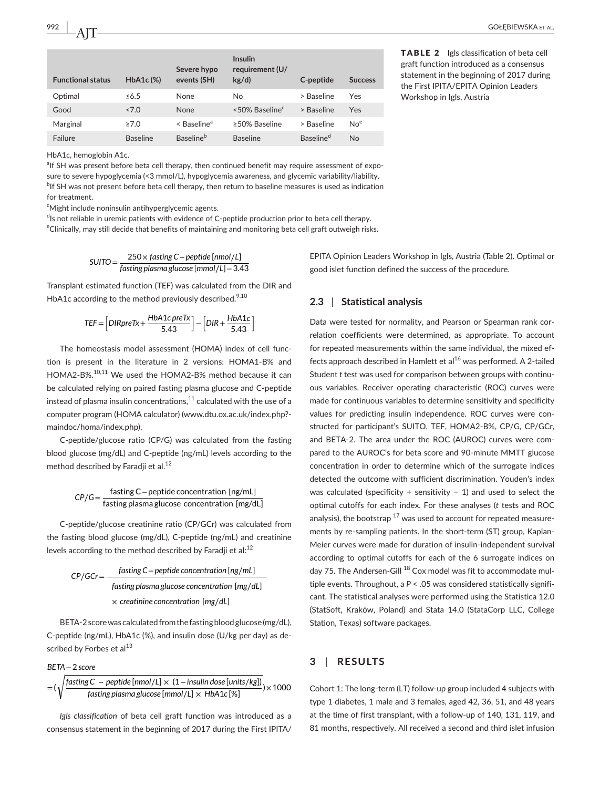| <b>Functional status</b> | $HbA1c$ (%)     | Severe hypo<br>events (SH)   | <b>Insulin</b><br>requirement (U/<br>kg/d) | C-peptide             | <b>Success</b>  |
|--------------------------|-----------------|------------------------------|--------------------------------------------|-----------------------|-----------------|
| Optimal                  | $\leq 6.5$      | None                         | No.                                        | > Baseline            | Yes             |
| Good                     | 27.0            | None                         | <50% Baseline <sup>c</sup>                 | > Baseline            | Yes             |
| Marginal                 | $\geq 7.0$      | < Baseline <sup>a</sup>      | $\geq$ 50% Baseline                        | > Baseline            | No <sup>e</sup> |
| Failure                  | <b>Baseline</b> | <b>Baseline</b> <sup>b</sup> | <b>Baseline</b>                            | Baseline <sup>d</sup> | <b>No</b>       |

HbA1c, hemoglobin A1c.

<sup>a</sup>lf SH was present before beta cell therapy, then continued benefit may require assessment of exposure to severe hypoglycemia (<3 mmol/L), hypoglycemia awareness, and glycemic variability/liability. <sup>b</sup>If SH was not present before beta cell therapy, then return to baseline measures is used as indication for treatment.

c Might include noninsulin antihyperglycemic agents.

<sup>d</sup>ls not reliable in uremic patients with evidence of C-peptide production prior to beta cell therapy. e Clinically, may still decide that benefits of maintaining and monitoring beta cell graft outweigh risks.

$$
SUITO = \frac{250 \times fasting C - peptide [nmol/L]}{fasting plasma glucose [mmol/L] - 3.43}
$$

Transplant estimated function (TEF) was calculated from the DIR and HbA1c according to the method previously described.<sup>9,10</sup>

$$
TEF = \left[DIRpreTx + \frac{HbA1c\,preTx}{5.43}\right] - \left[DIR + \frac{HbA1c}{5.43}\right]
$$

The homeostasis model assessment (HOMA) index of cell function is present in the literature in 2 versions: HOMA1-B% and HOMA2-B%.10,11 We used the HOMA2-B% method because it can be calculated relying on paired fasting plasma glucose and C-peptide instead of plasma insulin concentrations, $11$  calculated with the use of a computer program (HOMA calculator) ([www.dtu.ox.ac.uk/index.php?](http://www.dtu.ox.ac.uk/index.php?maindoc/homa/index.php) [maindoc/homa/index.php](http://www.dtu.ox.ac.uk/index.php?maindoc/homa/index.php)).

C-peptide/glucose ratio (CP/G) was calculated from the fasting blood glucose (mg/dL) and C-peptide (ng/mL) levels according to the method described by Faradji et al.<sup>12</sup>

*CP*∕*G*<sup>=</sup> fasting C−peptide concentration [ng/mL] fasting plasma glucose concentration [mg/dL]

C-peptide/glucose creatinine ratio (CP/GCr) was calculated from the fasting blood glucose (mg/dL), C-peptide (ng/mL) and creatinine levels according to the method described by Faradji et al: $^{12}$ 

$$
CP/GCr = \frac{fasting C - peptide concentration [ng/mL]}{fasting plasma glucose concentration [mg/dL]}
$$
  
× creationine concentration [mg/dL]

BETA-2 score was calculated from the fasting blood glucose (mg/dL), C-peptide (ng/mL), HbA1c (%), and insulin dose (U/kg per day) as described by Forbes et al $^{13}$ 

*BETA*−2 *score*

$$
= (\sqrt{\frac{\text{fasting C} - \text{peptide [nmol/L]} \times (1 - \text{insulin dose [units/kg])}}{\text{fasting plasma glucose [mmol/L]} \times \text{HbA1c} [\%]}) \times 1000
$$

*Igls classification* of beta cell graft function was introduced as a consensus statement in the beginning of 2017 during the First IPITA/ EPITA Opinion Leaders Workshop in Igls, Austria (Table 2). Optimal or good islet function defined the success of the procedure.

## **2.3** | **Statistical analysis**

Data were tested for normality, and Pearson or Spearman rank correlation coefficients were determined, as appropriate. To account for repeated measurements within the same individual, the mixed effects approach described in Hamlett et al<sup>16</sup> was performed. A 2-tailed Student *t* test was used for comparison between groups with continuous variables. Receiver operating characteristic (ROC) curves were made for continuous variables to determine sensitivity and specificity values for predicting insulin independence. ROC curves were constructed for participant's SUITO, TEF, HOMA2-B%, CP/G, CP/GCr, and BETA-2. The area under the ROC (AUROC) curves were compared to the AUROC's for beta score and 90-minute MMTT glucose concentration in order to determine which of the surrogate indices detected the outcome with sufficient discrimination. Youden's index was calculated (specificity + sensitivity − 1) and used to select the optimal cutoffs for each index. For these analyses (*t* tests and ROC analysis), the bootstrap  $17$  was used to account for repeated measurements by re-sampling patients. In the short-term (ST) group, Kaplan-Meier curves were made for duration of insulin-independent survival according to optimal cutoffs for each of the 6 surrogate indices on day 75. The Andersen-Gill <sup>18</sup> Cox model was fit to accommodate multiple events. Throughout, a *P* < .05 was considered statistically significant. The statistical analyses were performed using the Statistica 12.0 (StatSoft, Kraków, Poland) and Stata 14.0 (StataCorp LLC, College Station, Texas) software packages.

# **3** | **RESULTS**

Cohort 1: The long-term (LT) follow-up group included 4 subjects with type 1 diabetes, 1 male and 3 females, aged 42, 36, 51, and 48 years at the time of first transplant, with a follow-up of 140, 131, 119, and 81 months, respectively. All received a second and third islet infusion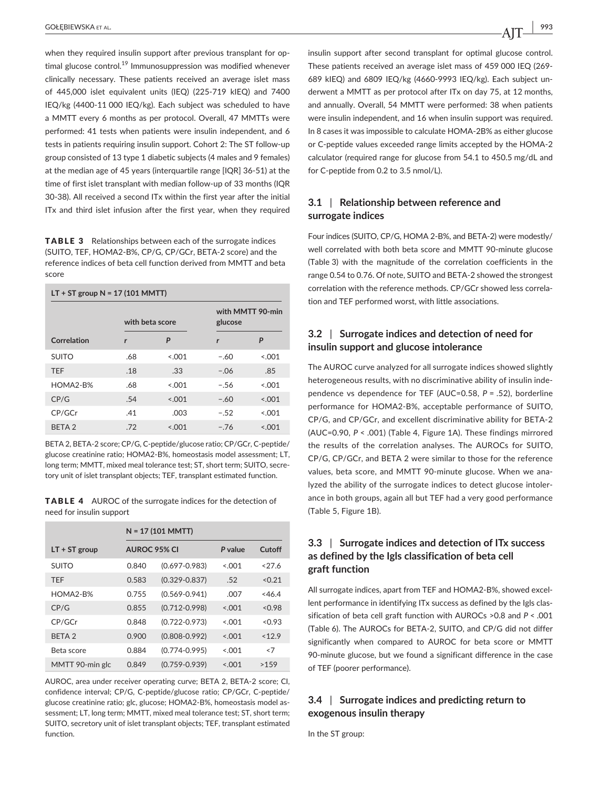when they required insulin support after previous transplant for optimal glucose control.<sup>19</sup> Immunosuppression was modified whenever clinically necessary. These patients received an average islet mass of 445,000 islet equivalent units (IEQ) (225-719 kIEQ) and 7400 IEQ/kg (4400-11 000 IEQ/kg). Each subject was scheduled to have a MMTT every 6 months as per protocol. Overall, 47 MMTTs were performed: 41 tests when patients were insulin independent, and 6 tests in patients requiring insulin support. Cohort 2: The ST follow-up group consisted of 13 type 1 diabetic subjects (4 males and 9 females) at the median age of 45 years (interquartile range [IQR] 36-51) at the time of first islet transplant with median follow-up of 33 months (IQR 30-38). All received a second ITx within the first year after the initial ITx and third islet infusion after the first year, when they required

TABLE 3 Relationships between each of the surrogate indices (SUITO, TEF, HOMA2-B%, CP/G, CP/GCr, BETA-2 score) and the reference indices of beta cell function derived from MMTT and beta score

| $LT + ST$ group $N = 17 (101 MMT)$ |                 |         |         |                  |  |  |
|------------------------------------|-----------------|---------|---------|------------------|--|--|
|                                    | with beta score |         | glucose | with MMTT 90-min |  |  |
| Correlation                        | r               | P       | r       | P                |  |  |
| <b>SUITO</b>                       | .68             | &0.01   | $-.60$  | < 0.001          |  |  |
| <b>TFF</b>                         | .18             | .33     | $-.06$  | .85              |  |  |
| $HOMA2-R%$                         | .68             | < 0.01  | $-.56$  | < 0.01           |  |  |
| CP/G                               | .54             | < 0.01  | $-.60$  | < 0.001          |  |  |
| CP/GCr                             | .41             | .003    | $-.52$  | < 0.01           |  |  |
| BETA <sub>2</sub>                  | .72             | < 0.001 | $-.76$  | < 0.001          |  |  |

BETA 2, BETA-2 score; CP/G, C-peptide/glucose ratio; CP/GCr, C-peptide/ glucose creatinine ratio; HOMA2-B%, homeostasis model assessment; LT, long term; MMTT, mixed meal tolerance test; ST, short term; SUITO, secretory unit of islet transplant objects; TEF, transplant estimated function.

TABLE 4 AUROC of the surrogate indices for the detection of need for insulin support

|                   | $N = 17 (101 MMT)$  |                   |         |        |
|-------------------|---------------------|-------------------|---------|--------|
| $LT + ST$ group   | <b>AUROC 95% CI</b> |                   | P value | Cutoff |
| <b>SUITO</b>      | 0.840               | $(0.697 - 0.983)$ | < 0.01  | 37.6   |
| <b>TFF</b>        | 0.583               | $(0.329 - 0.837)$ | .52     | < 0.21 |
| HOMA2-B%          | 0.755               | $(0.569 - 0.941)$ | .007    | <46.4  |
| CP/G              | 0.855               | $(0.712 - 0.998)$ | < 0.01  | < 0.98 |
| CP/GCr            | 0.848               | $(0.722 - 0.973)$ | < 0.01  | < 0.93 |
| BFTA <sub>2</sub> | 0.900               | $(0.808 - 0.992)$ | < 0.01  | < 12.9 |
| Beta score        | 0.884               | $(0.774 - 0.995)$ | < 0.001 | < 7    |
| MMTT 90-min glc   | 0.849               | $(0.759 - 0.939)$ | < 0.01  | >1.59  |

AUROC, area under receiver operating curve; BETA 2, BETA-2 score; CI, confidence interval; CP/G, C-peptide/glucose ratio; CP/GCr, C-peptide/ glucose creatinine ratio; glc, glucose; HOMA2-B%, homeostasis model assessment; LT, long term; MMTT, mixed meal tolerance test; ST, short term; SUITO, secretory unit of islet transplant objects; TEF, transplant estimated function.

insulin support after second transplant for optimal glucose control. These patients received an average islet mass of 459 000 IEQ (269- 689 kIEQ) and 6809 IEQ/kg (4660-9993 IEQ/kg). Each subject underwent a MMTT as per protocol after ITx on day 75, at 12 months, and annually. Overall, 54 MMTT were performed: 38 when patients were insulin independent, and 16 when insulin support was required. In 8 cases it was impossible to calculate HOMA-2B% as either glucose or C-peptide values exceeded range limits accepted by the HOMA-2 calculator (required range for glucose from 54.1 to 450.5 mg/dL and for C-peptide from 0.2 to 3.5 nmol/L).

# **3.1** | **Relationship between reference and surrogate indices**

Four indices (SUITO, CP/G, HOMA 2-B%, and BETA-2) were modestly/ well correlated with both beta score and MMTT 90-minute glucose (Table 3) with the magnitude of the correlation coefficients in the range 0.54 to 0.76. Of note, SUITO and BETA-2 showed the strongest correlation with the reference methods. CP/GCr showed less correlation and TEF performed worst, with little associations.

## **3.2** | **Surrogate indices and detection of need for insulin support and glucose intolerance**

The AUROC curve analyzed for all surrogate indices showed slightly heterogeneous results, with no discriminative ability of insulin independence vs dependence for TEF (AUC=0.58, *P* = .52), borderline performance for HOMA2-B%, acceptable performance of SUITO, CP/G, and CP/GCr, and excellent discriminative ability for BETA-2 (AUC=0.90, *P* < .001) (Table 4, Figure 1A). These findings mirrored the results of the correlation analyses. The AUROCs for SUITO, CP/G, CP/GCr, and BETA 2 were similar to those for the reference values, beta score, and MMTT 90-minute glucose. When we analyzed the ability of the surrogate indices to detect glucose intolerance in both groups, again all but TEF had a very good performance (Table 5, Figure 1B).

# **3.3** | **Surrogate indices and detection of ITx success as defined by the Igls classification of beta cell graft function**

All surrogate indices, apart from TEF and HOMA2-B%, showed excellent performance in identifying ITx success as defined by the Igls classification of beta cell graft function with AUROCs >0.8 and *P* < .001 (Table 6). The AUROCs for BETA-2, SUITO, and CP/G did not differ significantly when compared to AUROC for beta score or MMTT 90-minute glucose, but we found a significant difference in the case of TEF (poorer performance).

# **3.4** | **Surrogate indices and predicting return to exogenous insulin therapy**

In the ST group: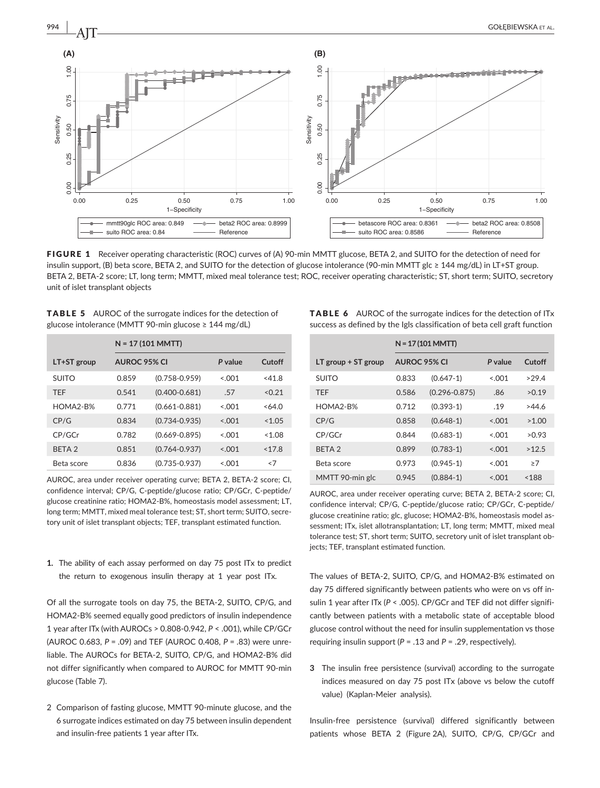

FIGURE 1 Receiver operating characteristic (ROC) curves of (A) 90-min MMTT glucose, BETA 2, and SUITO for the detection of need for insulin support, (B) beta score, BETA 2, and SUITO for the detection of glucose intolerance (90-min MMTT glc ≥ 144 mg/dL) in LT+ST group. BETA 2, BETA-2 score; LT, long term; MMTT, mixed meal tolerance test; ROC, receiver operating characteristic; ST, short term; SUITO, secretory

| <b>TABLE 5</b> AUROC of the surrogate indices for the detection of |
|--------------------------------------------------------------------|
| glucose intolerance (MMTT 90-min glucose $\geq 144$ mg/dL)         |

|                   |              | $N = 17 (101 MMT)$ |         |          |  |
|-------------------|--------------|--------------------|---------|----------|--|
| $LT+ST$ group     | AUROC 95% CI |                    | P value | Cutoff   |  |
| <b>SUITO</b>      | 0.859        | $(0.758 - 0.959)$  | &0.01   | $<$ 41.8 |  |
| <b>TFF</b>        | 0.541        | $(0.400 - 0.681)$  | .57     | < 0.21   |  |
| HOMA2-B%          | 0.771        | $(0.661 - 0.881)$  | < 0.01  | <64.0    |  |
| CP/G              | 0.834        | $(0.734 - 0.935)$  | < 0.01  | < 1.05   |  |
| CP/GCr            | 0.782        | $(0.669 - 0.895)$  | &0.01   | <1.08    |  |
| BFTA <sub>2</sub> | 0.851        | $(0.764 - 0.937)$  | < 0.01  | < 17.8   |  |
| Beta score        | 0.836        | $(0.735 - 0.937)$  | < 0.01  | < 7      |  |

AUROC, area under receiver operating curve; BETA 2, BETA-2 score; CI, confidence interval; CP/G, C-peptide/glucose ratio; CP/GCr, C-peptide/ glucose creatinine ratio; HOMA2-B%, homeostasis model assessment; LT, long term; MMTT, mixed meal tolerance test; ST, short term; SUITO, secretory unit of islet transplant objects; TEF, transplant estimated function.

**1.** The ability of each assay performed on day 75 post ITx to predict the return to exogenous insulin therapy at 1 year post ITx.

Of all the surrogate tools on day 75, the BETA-2, SUITO, CP/G, and HOMA2-B% seemed equally good predictors of insulin independence 1 year after ITx (with AUROCs > 0.808-0.942, *P* < .001), while CP/GCr (AUROC 0.683, *P* = .09) and TEF (AUROC 0.408, *P* = .83) were unreliable. The AUROCs for BETA-2, SUITO, CP/G, and HOMA2-B% did not differ significantly when compared to AUROC for MMTT 90-min glucose (Table 7).

2 Comparison of fasting glucose, MMTT 90-minute glucose, and the 6 surrogate indices estimated on day 75 between insulin dependent and insulin-free patients 1 year after ITx.

| <b>TABLE 6</b> AUROC of the surrogate indices for the detection of ITx    |
|---------------------------------------------------------------------------|
| success as defined by the Igls classification of beta cell graft function |

|                       | $N = 17 (101 MMT)$  |                   |         |        |
|-----------------------|---------------------|-------------------|---------|--------|
| LT group $+$ ST group | <b>AUROC 95% CI</b> |                   | P value | Cutoff |
| <b>SUITO</b>          | 0.833               | $(0.647 - 1)$     | < 0.01  | >29.4  |
| <b>TFF</b>            | 0.586               | $(0.296 - 0.875)$ | .86     | >0.19  |
| HOMA2-B%              | 0.712               | $(0.393 - 1)$     | .19     | >44.6  |
| CP/G                  | 0.858               | $(0.648-1)$       | < 0.01  | >1.00  |
| CP/GCr                | 0.844               | $(0.683 - 1)$     | < 0.01  | >0.93  |
| BFTA <sub>2</sub>     | 0.899               | $(0.783 - 1)$     | < 0.01  | >12.5  |
| Beta score            | 0.973               | $(0.945-1)$       | &0.01   | >7     |
| MMTT 90-min glc       | 0.945               | $(0.884-1)$       | < 0.01  | < 188  |

AUROC, area under receiver operating curve; BETA 2, BETA-2 score; CI, confidence interval; CP/G, C-peptide/glucose ratio; CP/GCr, C-peptide/ glucose creatinine ratio; glc, glucose; HOMA2-B%, homeostasis model assessment; ITx, islet allotransplantation; LT, long term; MMTT, mixed meal tolerance test; ST, short term; SUITO, secretory unit of islet transplant objects; TEF, transplant estimated function.

The values of BETA-2, SUITO, CP/G, and HOMA2-B% estimated on day 75 differed significantly between patients who were on vs off insulin 1 year after ITx (P < .005). CP/GCr and TEF did not differ significantly between patients with a metabolic state of acceptable blood glucose control without the need for insulin supplementation vs those requiring insulin support  $(P = .13$  and  $P = .29$ , respectively).

**3** The insulin free persistence (survival) according to the surrogate indices measured on day 75 post ITx (above vs below the cutoff value) (Kaplan-Meier analysis).

Insulin-free persistence (survival) differed significantly between patients whose BETA 2 (Figure 2A), SUITO, CP/G, CP/GCr and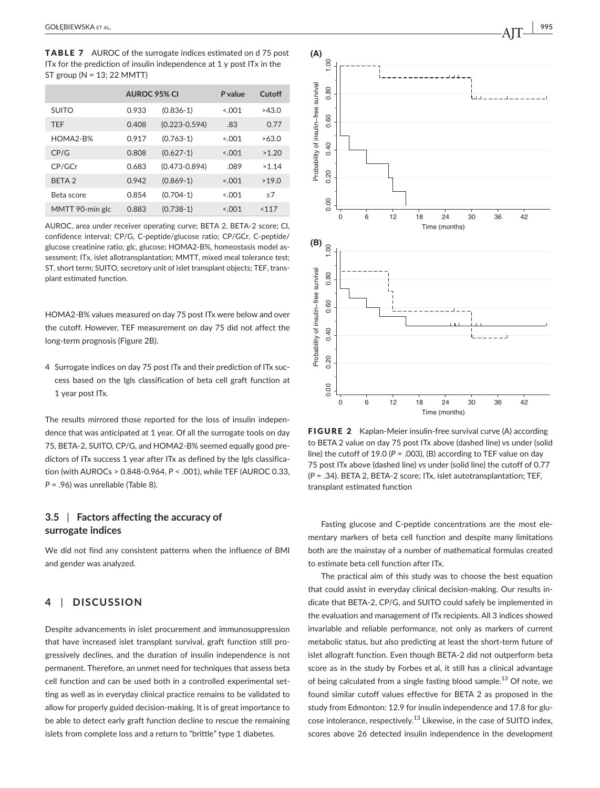TABLE 7 AUROC of the surrogate indices estimated on d 75 post ITx for the prediction of insulin independence at 1 y post ITx in the ST group (N = 13; 22 MMTT)

|                 | <b>AUROC 95% CI</b> |                   | P value | Cutoff |
|-----------------|---------------------|-------------------|---------|--------|
| <b>SUITO</b>    | 0.933               | $(0.836 - 1)$     | < 0.01  | >43.0  |
| <b>TFF</b>      | 0.408               | $(0.223 - 0.594)$ | .83     | 0.77   |
| HOMA2-B%        | 0.917               | $(0.763-1)$       | < 0.01  | >63.0  |
| CP/G            | 0.808               | $(0.627 - 1)$     | < 0.01  | >1.20  |
| CP/GCr          | 0.683               | $(0.473 - 0.894)$ | .089    | >1.14  |
| <b>BETA 2</b>   | 0.942               | $(0.869-1)$       | < 0.01  | >19.0  |
| Beta score      | 0.854               | $(0.704-1)$       | < 0.001 | >7     |
| MMTT 90-min glc | 0.883               | $(0.738-1)$       | < 0.001 | 117    |

AUROC, area under receiver operating curve; BETA 2, BETA-2 score; CI, confidence interval; CP/G, C-peptide/glucose ratio; CP/GCr, C-peptide/ glucose creatinine ratio; glc, glucose; HOMA2-B%, homeostasis model assessment; ITx, islet allotransplantation; MMTT, mixed meal tolerance test; ST, short term; SUITO, secretory unit of islet transplant objects; TEF, transplant estimated function.

HOMA2-B% values measured on day 75 post ITx were below and over the cutoff. However, TEF measurement on day 75 did not affect the long-term prognosis (Figure 2B).

4 Surrogate indices on day 75 post ITx and their prediction of ITx success based on the Igls classification of beta cell graft function at 1 year post ITx.

The results mirrored those reported for the loss of insulin independence that was anticipated at 1 year. Of all the surrogate tools on day 75, BETA-2, SUITO, CP/G, and HOMA2-B% seemed equally good predictors of ITx success 1 year after ITx as defined by the Igls classification (with AUROCs > 0.848-0.964, *P* < .001), while TEF (AUROC 0.33, *P* = .96) was unreliable (Table 8).

# **3.5** | **Factors affecting the accuracy of surrogate indices**

We did not find any consistent patterns when the influence of BMI and gender was analyzed.

# **4** | **DISCUSSION**

Despite advancements in islet procurement and immunosuppression that have increased islet transplant survival, graft function still progressively declines, and the duration of insulin independence is not permanent. Therefore, an unmet need for techniques that assess beta cell function and can be used both in a controlled experimental setting as well as in everyday clinical practice remains to be validated to allow for properly guided decision-making. It is of great importance to be able to detect early graft function decline to rescue the remaining islets from complete loss and a return to "brittle" type 1 diabetes.



FIGURE 2 Kaplan-Meier insulin-free survival curve (A) according to BETA 2 value on day 75 post ITx above (dashed line) vs under (solid line) the cutoff of 19.0 (*P* = .003), (B) according to TEF value on day 75 post ITx above (dashed line) vs under (solid line) the cutoff of 0.77 (*P* = .34). BETA 2, BETA-2 score; ITx, islet autotransplantation; TEF,

Fasting glucose and C-peptide concentrations are the most elementary markers of beta cell function and despite many limitations both are the mainstay of a number of mathematical formulas created to estimate beta cell function after ITx.

The practical aim of this study was to choose the best equation that could assist in everyday clinical decision-making. Our results indicate that BETA-2, CP/G, and SUITO could safely be implemented in the evaluation and management of ITx recipients. All 3 indices showed invariable and reliable performance, not only as markers of current metabolic status, but also predicting at least the short-term future of islet allograft function. Even though BETA-2 did not outperform beta score as in the study by Forbes et al, it still has a clinical advantage of being calculated from a single fasting blood sample.<sup>13</sup> Of note, we found similar cutoff values effective for BETA 2 as proposed in the study from Edmonton: 12.9 for insulin independence and 17.8 for glucose intolerance, respectively.<sup>13</sup> Likewise, in the case of SUITO index, scores above 26 detected insulin independence in the development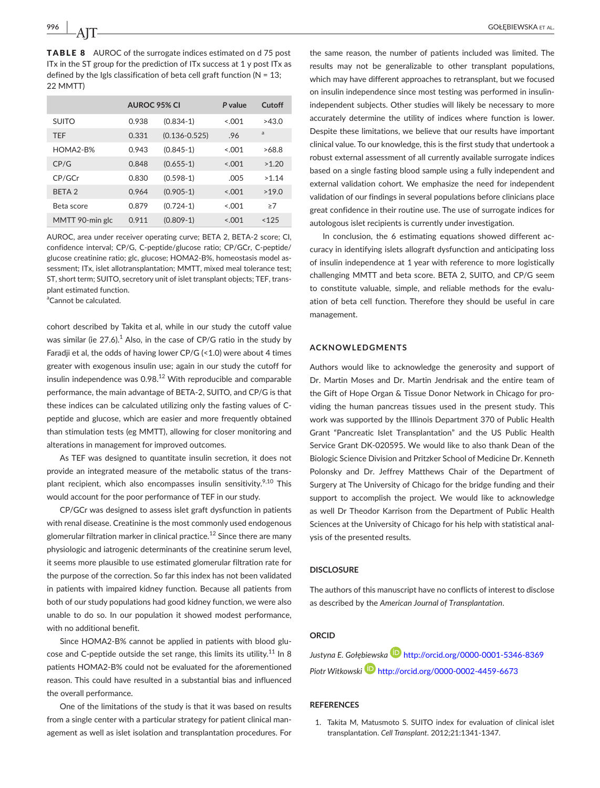TABLE 8 AUROC of the surrogate indices estimated on d 75 post ITx in the ST group for the prediction of ITx success at 1 y post ITx as defined by the Igls classification of beta cell graft function ( $N = 13$ ; 22 MMTT)

|                 | <b>AUROC 95% CI</b> |                   | P value | Cutoff |
|-----------------|---------------------|-------------------|---------|--------|
| <b>SUITO</b>    | 0.938               | $(0.834-1)$       | < 0.01  | >43.0  |
| <b>TFF</b>      | 0.331               | $(0.136 - 0.525)$ | .96     | a      |
| HOMA2-B%        | 0.943               | $(0.845-1)$       | < 0.01  | >68.8  |
| CP/G            | 0.848               | $(0.655 - 1)$     | < 0.01  | >1.20  |
| CP/GCr          | 0.830               | $(0.598-1)$       | .005    | >1.14  |
| <b>BFTA 2</b>   | 0.964               | $(0.905-1)$       | < 0.01  | >19.0  |
| Beta score      | 0.879               | $(0.724-1)$       | < 0.01  | >7     |
| MMTT 90-min glc | 0.911               | $(0.809 - 1)$     | 3.001   | < 125  |

AUROC, area under receiver operating curve; BETA 2, BETA-2 score; CI, confidence interval; CP/G, C-peptide/glucose ratio; CP/GCr, C-peptide/ glucose creatinine ratio; glc, glucose; HOMA2-B%, homeostasis model assessment; ITx, islet allotransplantation; MMTT, mixed meal tolerance test; ST, short term; SUITO, secretory unit of islet transplant objects; TEF, transplant estimated function.

<sup>a</sup>Cannot be calculated.

cohort described by Takita et al, while in our study the cutoff value was similar (ie 27.6). $^1$  Also, in the case of CP/G ratio in the study by Faradji et al, the odds of having lower CP/G (<1.0) were about 4 times greater with exogenous insulin use; again in our study the cutoff for insulin independence was  $0.98<sup>12</sup>$  With reproducible and comparable performance, the main advantage of BETA-2, SUITO, and CP/G is that these indices can be calculated utilizing only the fasting values of Cpeptide and glucose, which are easier and more frequently obtained than stimulation tests (eg MMTT), allowing for closer monitoring and alterations in management for improved outcomes.

As TEF was designed to quantitate insulin secretion, it does not provide an integrated measure of the metabolic status of the transplant recipient, which also encompasses insulin sensitivity.<sup>9,10</sup> This would account for the poor performance of TEF in our study.

CP/GCr was designed to assess islet graft dysfunction in patients with renal disease. Creatinine is the most commonly used endogenous glomerular filtration marker in clinical practice.<sup>12</sup> Since there are many physiologic and iatrogenic determinants of the creatinine serum level, it seems more plausible to use estimated glomerular filtration rate for the purpose of the correction. So far this index has not been validated in patients with impaired kidney function. Because all patients from both of our study populations had good kidney function, we were also unable to do so. In our population it showed modest performance, with no additional benefit.

Since HOMA2-B% cannot be applied in patients with blood glucose and C-peptide outside the set range, this limits its utility.<sup>11</sup> In 8 patients HOMA2-B% could not be evaluated for the aforementioned reason. This could have resulted in a substantial bias and influenced the overall performance.

One of the limitations of the study is that it was based on results from a single center with a particular strategy for patient clinical management as well as islet isolation and transplantation procedures. For the same reason, the number of patients included was limited. The results may not be generalizable to other transplant populations, which may have different approaches to retransplant, but we focused on insulin independence since most testing was performed in insulinindependent subjects. Other studies will likely be necessary to more accurately determine the utility of indices where function is lower. Despite these limitations, we believe that our results have important clinical value. To our knowledge, this is the first study that undertook a robust external assessment of all currently available surrogate indices based on a single fasting blood sample using a fully independent and external validation cohort. We emphasize the need for independent validation of our findings in several populations before clinicians place great confidence in their routine use. The use of surrogate indices for autologous islet recipients is currently under investigation.

In conclusion, the 6 estimating equations showed different accuracy in identifying islets allograft dysfunction and anticipating loss of insulin independence at 1 year with reference to more logistically challenging MMTT and beta score. BETA 2, SUITO, and CP/G seem to constitute valuable, simple, and reliable methods for the evaluation of beta cell function. Therefore they should be useful in care management.

#### **ACKNOWLEDGMENTS**

Authors would like to acknowledge the generosity and support of Dr. Martin Moses and Dr. Martin Jendrisak and the entire team of the Gift of Hope Organ & Tissue Donor Network in Chicago for providing the human pancreas tissues used in the present study. This work was supported by the Illinois Department 370 of Public Health Grant "Pancreatic Islet Transplantation" and the US Public Health Service Grant DK-020595. We would like to also thank Dean of the Biologic Science Division and Pritzker School of Medicine Dr. Kenneth Polonsky and Dr. Jeffrey Matthews Chair of the Department of Surgery at The University of Chicago for the bridge funding and their support to accomplish the project. We would like to acknowledge as well Dr Theodor Karrison from the Department of Public Health Sciences at the University of Chicago for his help with statistical analysis of the presented results.

#### **DISCLOSURE**

The authors of this manuscript have no conflicts of interest to disclose as described by the *American Journal of Transplantation*.

## **ORCID**

*Justyna E. Gołębiewska* <http://orcid.org/0000-0001-5346-8369> *Piotr Witkowski* <http://orcid.org/0000-0002-4459-6673>

#### **REFERENCES**

1. Takita M, Matusmoto S. SUITO index for evaluation of clinical islet transplantation. *Cell Transplant*. 2012;21:1341‐1347.